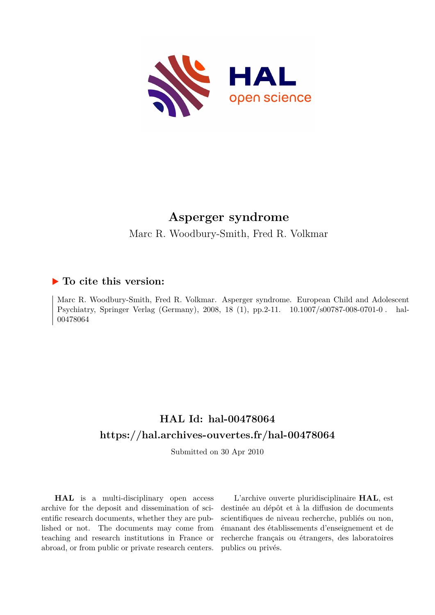

## **Asperger syndrome**

Marc R. Woodbury-Smith, Fred R. Volkmar

## **To cite this version:**

Marc R. Woodbury-Smith, Fred R. Volkmar. Asperger syndrome. European Child and Adolescent Psychiatry, Springer Verlag (Germany), 2008, 18 (1), pp. 2-11. 10.1007/s00787-008-0701-0. hal-00478064

## **HAL Id: hal-00478064 <https://hal.archives-ouvertes.fr/hal-00478064>**

Submitted on 30 Apr 2010

**HAL** is a multi-disciplinary open access archive for the deposit and dissemination of scientific research documents, whether they are published or not. The documents may come from teaching and research institutions in France or abroad, or from public or private research centers.

L'archive ouverte pluridisciplinaire **HAL**, est destinée au dépôt et à la diffusion de documents scientifiques de niveau recherche, publiés ou non, émanant des établissements d'enseignement et de recherche français ou étrangers, des laboratoires publics ou privés.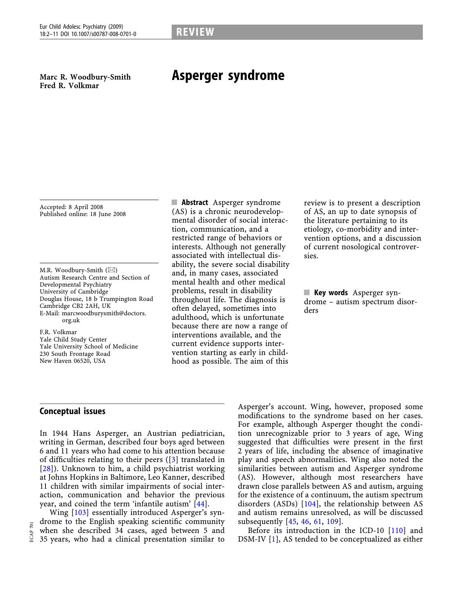Marc R. Woodbury-Smith Fred R. Volkmar

# Asperger syndrome

Accepted: 8 April 2008 Published online: 18 June 2008

M.R. Woodbury-Smith  $(\boxtimes)$ Autism Research Centre and Section of Developmental Psychiatry University of Cambridge Douglas House, 18 b Trumpington Road Cambridge CB2 2AH, UK E-Mail: marcwoodburysmith@doctors. org.uk

F.R. Volkmar Yale Child Study Center Yale University School of Medicine 230 South Frontage Road New Haven 06520, USA

**E** Abstract Asperger syndrome (AS) is a chronic neurodevelopmental disorder of social interaction, communication, and a restricted range of behaviors or interests. Although not generally associated with intellectual disability, the severe social disability and, in many cases, associated mental health and other medical problems, result in disability throughout life. The diagnosis is often delayed, sometimes into adulthood, which is unfortunate because there are now a range of interventions available, and the current evidence supports intervention starting as early in childhood as possible. The aim of this

review is to present a description of AS, an up to date synopsis of the literature pertaining to its etiology, co-morbidity and intervention options, and a discussion of current nosological controversies.

**Key words** Asperger syndrome – autism spectrum disorders

## Conceptual issues

In 1944 Hans Asperger, an Austrian pediatrician, writing in German, described four boys aged between 6 and 11 years who had come to his attention because of difficulties relating to their peers ([3] translated in  $[28]$ ). Unknown to him, a child psychiatrist working at Johns Hopkins in Baltimore, Leo Kanner, described 11 children with similar impairments of social interaction, communication and behavior the previous year, and coined the term 'infantile autism' [44].

Wing [103] essentially introduced Asperger's syndrome to the English speaking scientific community when she described 34 cases, aged between 5 and 35 years, who had a clinical presentation similar to

Asperger's account. Wing, however, proposed some modifications to the syndrome based on her cases. For example, although Asperger thought the condition unrecognizable prior to 3 years of age, Wing suggested that difficulties were present in the first 2 years of life, including the absence of imaginative play and speech abnormalities. Wing also noted the similarities between autism and Asperger syndrome (AS). However, although most researchers have drawn close parallels between AS and autism, arguing for the existence of a continuum, the autism spectrum disorders (ASDs) [104], the relationship between AS and autism remains unresolved, as will be discussed subsequently [45, 46, 61, 109].

Before its introduction in the ICD-10 [110] and DSM-IV [1], AS tended to be conceptualized as either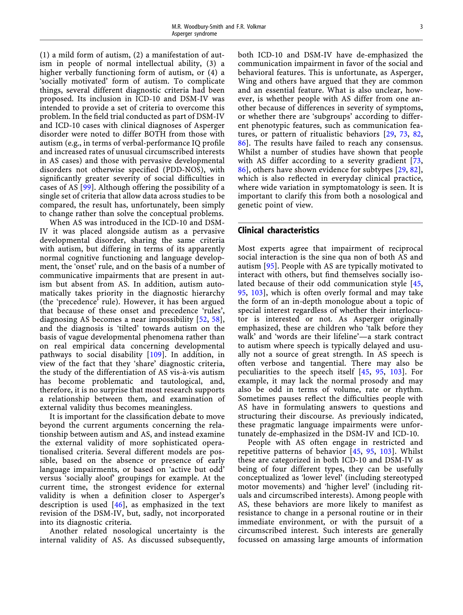(1) a mild form of autism, (2) a manifestation of autism in people of normal intellectual ability, (3) a higher verbally functioning form of autism, or (4) a -socially motivated' form of autism. To complicate things, several different diagnostic criteria had been proposed. Its inclusion in ICD-10 and DSM-IV was intended to provide a set of criteria to overcome this problem. In the field trial conducted as part of DSM-IV and ICD-10 cases with clinical diagnoses of Asperger disorder were noted to differ BOTH from those with autism (e.g., in terms of verbal-performance IQ profile and increased rates of unusual circumscribed interests in AS cases) and those with pervasive developmental disorders not otherwise specified (PDD-NOS), with significantly greater severity of social difficulties in cases of AS [99]. Although offering the possibility of a single set of criteria that allow data across studies to be compared, the result has, unfortunately, been simply to change rather than solve the conceptual problems.

When AS was introduced in the ICD-10 and DSM-IV it was placed alongside autism as a pervasive developmental disorder, sharing the same criteria with autism, but differing in terms of its apparently normal cognitive functioning and language development, the 'onset' rule, and on the basis of a number of communicative impairments that are present in autism but absent from AS. In addition, autism automatically takes priority in the diagnostic hierarchy (the 'precedence' rule). However, it has been argued that because of these onset and precedence 'rules', diagnosing AS becomes a near impossibility [52, 58], and the diagnosis is 'tilted' towards autism on the basis of vague developmental phenomena rather than on real empirical data concerning developmental pathways to social disability [109]. In addition, in view of the fact that they 'share' diagnostic criteria, the study of the differentiation of AS vis-à-vis autism has become problematic and tautological, and, therefore, it is no surprise that most research supports a relationship between them, and examination of external validity thus becomes meaningless.

It is important for the classification debate to move beyond the current arguments concerning the relationship between autism and AS, and instead examine the external validity of more sophisticated operationalised criteria. Several different models are possible, based on the absence or presence of early language impairments, or based on 'active but odd' versus 'socially aloof' groupings for example. At the current time, the strongest evidence for external validity is when a definition closer to Asperger's description is used [46], as emphasized in the text revision of the DSM-IV, but, sadly, not incorporated into its diagnostic criteria.

Another related nosological uncertainty is the internal validity of AS. As discussed subsequently, both ICD-10 and DSM-IV have de-emphasized the communication impairment in favor of the social and behavioral features. This is unfortunate, as Asperger, Wing and others have argued that they are common and an essential feature. What is also unclear, however, is whether people with AS differ from one another because of differences in severity of symptoms, or whether there are 'subgroups' according to different phenotypic features, such as communication features, or pattern of ritualistic behaviors [29, 73, 82, 86]. The results have failed to reach any consensus. Whilst a number of studies have shown that people with AS differ according to a severity gradient [73, 86], others have shown evidence for subtypes [29, 82], which is also reflected in everyday clinical practice, where wide variation in symptomatology is seen. It is important to clarify this from both a nosological and genetic point of view.

## Clinical characteristics

Most experts agree that impairment of reciprocal social interaction is the sine qua non of both AS and autism [95]. People with AS are typically motivated to interact with others, but find themselves socially isolated because of their odd communication style [45, 95, 103], which is often overly formal and may take the form of an in-depth monologue about a topic of special interest regardless of whether their interlocutor is interested or not. As Asperger originally emphasized, these are children who 'talk before they walk' and 'words are their lifeline'-a stark contract to autism where speech is typically delayed and usually not a source of great strength. In AS speech is often verbose and tangential. There may also be peculiarities to the speech itself [45, 95, 103]. For example, it may lack the normal prosody and may also be odd in terms of volume, rate or rhythm. Sometimes pauses reflect the difficulties people with AS have in formulating answers to questions and structuring their discourse. As previously indicated, these pragmatic language impairments were unfortunately de-emphasized in the DSM-IV and ICD-10.

People with AS often engage in restricted and repetitive patterns of behavior [45, 95, 103]. Whilst these are categorized in both ICD-10 and DSM-IV as being of four different types, they can be usefully conceptualized as 'lower level' (including stereotyped motor movements) and 'higher level' (including rituals and circumscribed interests). Among people with AS, these behaviors are more likely to manifest as resistance to change in a personal routine or in their immediate environment, or with the pursuit of a circumscribed interest. Such interests are generally focussed on amassing large amounts of information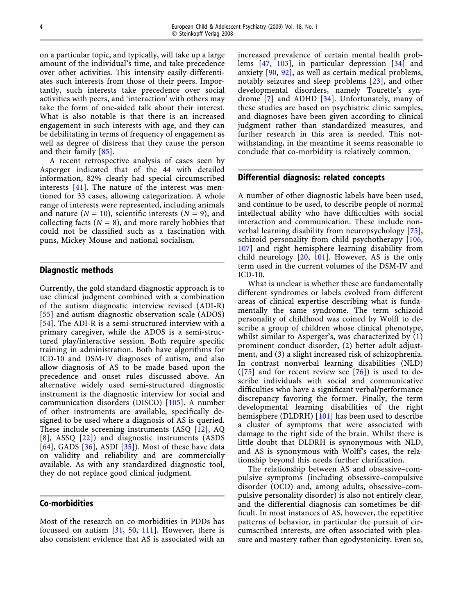on a particular topic, and typically, will take up a large amount of the individual's time, and take precedence over other activities. This intensity easily differentiates such interests from those of their peers. Importantly, such interests take precedence over social activities with peers, and 'interaction' with others may take the form of one-sided talk about their interest. What is also notable is that there is an increased engagement in such interests with age, and they can be debilitating in terms of frequency of engagement as well as degree of distress that they cause the person and their family [85].

A recent retrospective analysis of cases seen by Asperger indicated that of the 44 with detailed information, 82% clearly had special circumscribed interests  $[41]$ . The nature of the interest was mentioned for 33 cases, allowing categorization. A whole range of interests were represented, including animals and nature ( $N = 10$ ), scientific interests ( $N = 9$ ), and collecting facts ( $N = 8$ ), and more rarely hobbies that could not be classified such as a fascination with puns, Mickey Mouse and national socialism.

### Diagnostic methods

Currently, the gold standard diagnostic approach is to use clinical judgment combined with a combination of the autism diagnostic interview revised (ADI-R) [55] and autism diagnostic observation scale (ADOS) [54]. The ADI-R is a semi-structured interview with a primary caregiver, while the ADOS is a semi-structured play/interactive session. Both require specific training in administration. Both have algorithms for ICD-10 and DSM-IV diagnoses of autism, and also allow diagnosis of AS to be made based upon the precedence and onset rules discussed above. An alternative widely used semi-structured diagnostic instrument is the diagnostic interview for social and communication disorders (DISCO) [105]. A number of other instruments are available, specifically designed to be used where a diagnosis of AS is queried. These include screening instruments (ASQ [12], AQ [8], ASSQ [22]) and diagnostic instruments (ASDS  $[64]$ , GADS  $[36]$ , ASDI  $[35]$ ). Most of these have data on validity and reliability and are commercially available. As with any standardized diagnostic tool, they do not replace good clinical judgment.

## Co-morbidities

Most of the research on co-morbidities in PDDs has focussed on autism [31, 50, 111]. However, there is also consistent evidence that AS is associated with an

increased prevalence of certain mental health problems [47, 103], in particular depression [34] and anxiety [90, 92], as well as certain medical problems, notably seizures and sleep problems [23], and other developmental disorders, namely Tourette's syndrome [7] and ADHD [34]. Unfortunately, many of these studies are based on psychiatric clinic samples, and diagnoses have been given according to clinical judgment rather than standardized measures, and further research in this area is needed. This notwithstanding, in the meantime it seems reasonable to conclude that co-morbidity is relatively common.

## Differential diagnosis: related concepts

A number of other diagnostic labels have been used, and continue to be used, to describe people of normal intellectual ability who have difficulties with social interaction and communication. These include nonverbal learning disability from neuropsychology [75], schizoid personality from child psychotherapy [106, 107] and right hemisphere learning disability from child neurology [20, 101]. However, AS is the only term used in the current volumes of the DSM-IV and ICD-10.

What is unclear is whether these are fundamentally different syndromes or labels evolved from different areas of clinical expertise describing what is fundamentally the same syndrome. The term schizoid personality of childhood was coined by Wolff to describe a group of children whose clinical phenotype, whilst similar to Asperger's, was characterized by (1) prominent conduct disorder, (2) better adult adjustment, and (3) a slight increased risk of schizophrenia. In contrast nonverbal learning disabilities (NLD)  $([75]$  and for recent review see  $[76]$ ) is used to describe individuals with social and communicative difficulties who have a significant verbal/performance discrepancy favoring the former. Finally, the term developmental learning disabilities of the right hemisphere (DLDRH) [101] has been used to describe a cluster of symptoms that were associated with damage to the right side of the brain. Whilst there is little doubt that DLDRH is synonymous with NLD, and AS is synonymous with Wolff's cases, the relationship beyond this needs further clarification.

The relationship between AS and obsessive–compulsive symptoms (including obsessive–compulsive disorder (OCD) and, among adults, obsessive–compulsive personality disorder) is also not entirely clear, and the differential diagnosis can sometimes be difficult. In most instances of AS, however, the repetitive patterns of behavior, in particular the pursuit of circumscribed interests, are often associated with pleasure and mastery rather than egodystonicity. Even so,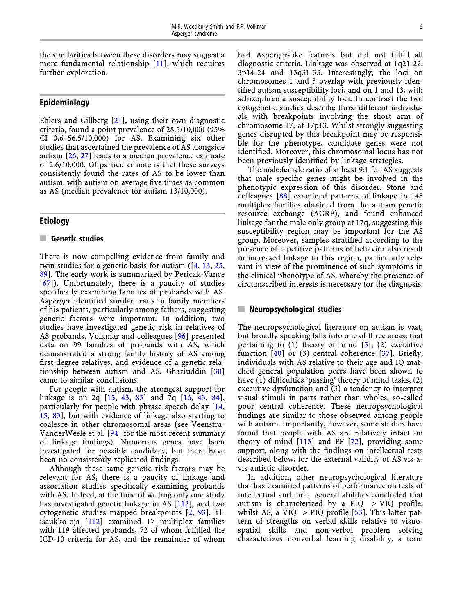the similarities between these disorders may suggest a more fundamental relationship [11], which requires further exploration.

## Epidemiology

Ehlers and Gillberg [21], using their own diagnostic criteria, found a point prevalence of 28.5/10,000 (95% CI 0.6–56.5/10,000) for AS. Examining six other studies that ascertained the prevalence of AS alongside autism [26, 27] leads to a median prevalence estimate of 2.6/10,000. Of particular note is that these surveys consistently found the rates of AS to be lower than autism, with autism on average five times as common as AS (median prevalence for autism 13/10,000).

## **Etiology**

## $\blacksquare$  Genetic studies

There is now compelling evidence from family and twin studies for a genetic basis for autism  $(14, 13, 25,$ 89]. The early work is summarized by Pericak-Vance [67]). Unfortunately, there is a paucity of studies specifically examining families of probands with AS. Asperger identified similar traits in family members of his patients, particularly among fathers, suggesting genetic factors were important. In addition, two studies have investigated genetic risk in relatives of AS probands. Volkmar and colleagues [96] presented data on 99 families of probands with AS, which demonstrated a strong family history of AS among first-degree relatives, and evidence of a genetic relationship between autism and AS. Ghaziuddin [30] came to similar conclusions.

For people with autism, the strongest support for linkage is on 2q [15, 43, 83] and 7q [16, 43, 84], particularly for people with phrase speech delay [14, 15, 83], but with evidence of linkage also starting to coalesce in other chromosomal areas (see Veenstra-VanderWeele et al. [94] for the most recent summary of linkage findings). Numerous genes have been investigated for possible candidacy, but there have been no consistently replicated findings.

Although these same genetic risk factors may be relevant for AS, there is a paucity of linkage and association studies specifically examining probands with AS. Indeed, at the time of writing only one study has investigated genetic linkage in AS [112], and two cytogenetic studies mapped breakpoints [2, 93]. Ylisaukko-oja [112] examined 17 multiplex families with 119 affected probands, 72 of whom fulfilled the ICD-10 criteria for AS, and the remainder of whom

had Asperger-like features but did not fulfill all diagnostic criteria. Linkage was observed at 1q21-22, 3p14-24 and 13q31-33. Interestingly, the loci on chromosomes 1 and 3 overlap with previously identified autism susceptibility loci, and on 1 and 13, with schizophrenia susceptibility loci. In contrast the two cytogenetic studies describe three different individuals with breakpoints involving the short arm of chromosome 17, at 17p13. Whilst strongly suggesting genes disrupted by this breakpoint may be responsible for the phenotype, candidate genes were not identified. Moreover, this chromosomal locus has not been previously identified by linkage strategies.

The male:female ratio of at least 9:1 for AS suggests that male specific genes might be involved in the phenotypic expression of this disorder. Stone and colleagues [88] examined patterns of linkage in 148 multiplex families obtained from the autism genetic resource exchange (AGRE), and found enhanced linkage for the male only group at 17q, suggesting this susceptibility region may be important for the AS group. Moreover, samples stratified according to the presence of repetitive patterns of behavior also result in increased linkage to this region, particularly relevant in view of the prominence of such symptoms in the clinical phenotype of AS, whereby the presence of circumscribed interests is necessary for the diagnosis.

## $\blacksquare$  Neuropsychological studies

The neuropsychological literature on autism is vast, but broadly speaking falls into one of three areas: that pertaining to  $(1)$  theory of mind  $[5]$ ,  $(2)$  executive function  $[40]$  or (3) central coherence  $[37]$ . Briefly, individuals with AS relative to their age and IQ matched general population peers have been shown to have (1) difficulties 'passing' theory of mind tasks, (2) executive dysfunction and (3) a tendency to interpret visual stimuli in parts rather than wholes, so-called poor central coherence. These neuropsychological findings are similar to those observed among people with autism. Importantly, however, some studies have found that people with AS are relatively intact on theory of mind  $[113]$  and EF  $[72]$ , providing some support, along with the findings on intellectual tests described below, for the external validity of AS vis-a` vis autistic disorder.

In addition, other neuropsychological literature that has examined patterns of performance on tests of intellectual and more general abilities concluded that autism is characterized by a PIQ > VIQ profile, whilst AS, a VIQ  $>$  PIQ profile [53]. This latter pattern of strengths on verbal skills relative to visuospatial skills and non-verbal problem solving characterizes nonverbal learning disability, a term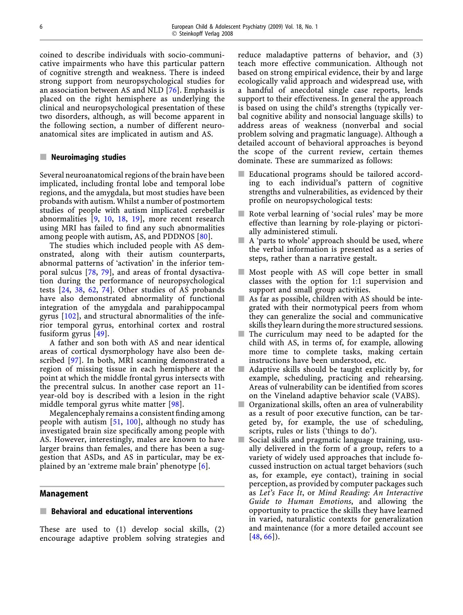coined to describe individuals with socio-communicative impairments who have this particular pattern of cognitive strength and weakness. There is indeed strong support from neuropsychological studies for an association between AS and NLD [76]. Emphasis is placed on the right hemisphere as underlying the clinical and neuropsychological presentation of these two disorders, although, as will become apparent in the following section, a number of different neuroanatomical sites are implicated in autism and AS.

#### $\blacksquare$  Neuroimaging studies

Several neuroanatomical regions of the brain have been implicated, including frontal lobe and temporal lobe regions, and the amygdala, but most studies have been probands with autism. Whilst a number of postmortem studies of people with autism implicated cerebellar abnormalities [9, 10, 18, 19], more recent research using MRI has failed to find any such abnormalities among people with autism, AS, and PDDNOS [80].

The studies which included people with AS demonstrated, along with their autism counterparts, abnormal patterns of 'activation' in the inferior temporal sulcus [78, 79], and areas of frontal dysactivation during the performance of neuropsychological tests [24, 38, 62, 74]. Other studies of AS probands have also demonstrated abnormality of functional integration of the amygdala and parahippocampal gyrus [102], and structural abnormalities of the inferior temporal gyrus, entorhinal cortex and rostral fusiform gyrus [49].

A father and son both with AS and near identical areas of cortical dysmorphology have also been described [97]. In both, MRI scanning demonstrated a region of missing tissue in each hemisphere at the point at which the middle frontal gyrus intersects with the precentral sulcus. In another case report an 11 year-old boy is described with a lesion in the right middle temporal gyrus white matter [98].

Megalencephaly remains a consistent finding among people with autism [51, 100], although no study has investigated brain size specifically among people with AS. However, interestingly, males are known to have larger brains than females, and there has been a suggestion that ASDs, and AS in particular, may be explained by an 'extreme male brain' phenotype [6].

## Management

## $\blacksquare$  Behavioral and educational interventions

These are used to (1) develop social skills, (2) encourage adaptive problem solving strategies and reduce maladaptive patterns of behavior, and (3) teach more effective communication. Although not based on strong empirical evidence, their by and large ecologically valid approach and widespread use, with a handful of anecdotal single case reports, lends support to their effectiveness. In general the approach is based on using the child's strengths (typically verbal cognitive ability and nonsocial language skills) to address areas of weakness (nonverbal and social problem solving and pragmatic language). Although a detailed account of behavioral approaches is beyond the scope of the current review, certain themes dominate. These are summarized as follows:

- **Educational programs should be tailored accord**ing to each individual's pattern of cognitive strengths and vulnerabilities, as evidenced by their profile on neuropsychological tests:
- Rote verbal learning of 'social rules' may be more effective than learning by role-playing or pictorially administered stimuli.
- $\blacksquare$  A 'parts to whole' approach should be used, where the verbal information is presented as a series of steps, rather than a narrative gestalt.
- $\blacksquare$  Most people with AS will cope better in small classes with the option for 1:1 supervision and support and small group activities.
- $\blacksquare$  As far as possible, children with AS should be integrated with their normotypical peers from whom they can generalize the social and communicative skills they learn during the more structured sessions.
- $\blacksquare$  The curriculum may need to be adapted for the child with AS, in terms of, for example, allowing more time to complete tasks, making certain instructions have been understood, etc.
- $\blacksquare$  Adaptive skills should be taught explicitly by, for example, scheduling, practicing and rehearsing. Areas of vulnerability can be identified from scores on the Vineland adaptive behavior scale (VABS).
- $\Box$  Organizational skills, often an area of vulnerability as a result of poor executive function, can be targeted by, for example, the use of scheduling, scripts, rules or lists ('things to do').
- $\blacksquare$  Social skills and pragmatic language training, usually delivered in the form of a group, refers to a variety of widely used approaches that include focussed instruction on actual target behaviors (such as, for example, eye contact), training in social perception, as provided by computer packages such as Let's Face It, or Mind Reading: An Interactive Guide to Human Emotions, and allowing the opportunity to practice the skills they have learned in varied, naturalistic contexts for generalization and maintenance (for a more detailed account see [48, 66]).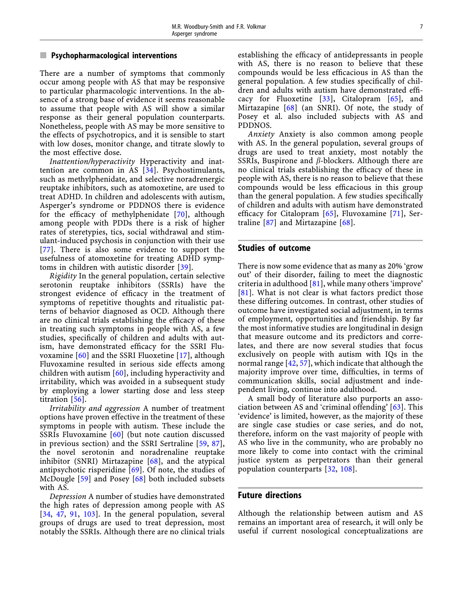## $\blacksquare$  Psychopharmacological interventions

There are a number of symptoms that commonly occur among people with AS that may be responsive to particular pharmacologic interventions. In the absence of a strong base of evidence it seems reasonable to assume that people with AS will show a similar response as their general population counterparts. Nonetheless, people with AS may be more sensitive to the effects of psychotropics, and it is sensible to start with low doses, monitor change, and titrate slowly to the most effective dose.

Inattention/hyperactivity Hyperactivity and inattention are common in AS [34]. Psychostimulants, such as methylphenidate, and selective noradrenergic reuptake inhibitors, such as atomoxetine, are used to treat ADHD. In children and adolescents with autism, Asperger's syndrome or PDDNOS there is evidence for the efficacy of methylphenidate [70], although among people with PDDs there is a risk of higher rates of steretypies, tics, social withdrawal and stimulant-induced psychosis in conjunction with their use [77]. There is also some evidence to support the usefulness of atomoxetine for treating ADHD symptoms in children with autistic disorder [39].

Rigidity In the general population, certain selective serotonin reuptake inhibitors (SSRIs) have the strongest evidence of efficacy in the treatment of symptoms of repetitive thoughts and ritualistic patterns of behavior diagnosed as OCD. Although there are no clinical trials establishing the efficacy of these in treating such symptoms in people with AS, a few studies, specifically of children and adults with autism, have demonstrated efficacy for the SSRI Fluvoxamine [60] and the SSRI Fluoxetine [17], although Fluvoxamine resulted in serious side effects among children with autism [60], including hyperactivity and irritability, which was avoided in a subsequent study by employing a lower starting dose and less steep titration [56].

Irritability and aggression A number of treatment options have proven effective in the treatment of these symptoms in people with autism. These include the SSRIs Fluvoxamine [60] (but note caution discussed in previous section) and the SSRI Sertraline [59, 87], the novel serotonin and noradrenaline reuptake inhibitor (SNRI) Mirtazapine [68], and the atypical antipsychotic risperidine  $[69]$ . Of note, the studies of McDougle [59] and Posey [68] both included subsets with AS.

Depression A number of studies have demonstrated the high rates of depression among people with AS [34, 47, 91, 103]. In the general population, several groups of drugs are used to treat depression, most notably the SSRIs. Although there are no clinical trials establishing the efficacy of antidepressants in people with AS, there is no reason to believe that these compounds would be less efficacious in AS than the general population. A few studies specifically of children and adults with autism have demonstrated efficacy for Fluoxetine [33], Citalopram [65], and Mirtazapine [68] (an SNRI). Of note, the study of Posey et al. also included subjects with AS and PDDNOS.

Anxiety Anxiety is also common among people with AS. In the general population, several groups of drugs are used to treat anxiety, most notably the SSRIs, Buspirone and  $\beta$ -blockers. Although there are no clinical trials establishing the efficacy of these in people with AS, there is no reason to believe that these compounds would be less efficacious in this group than the general population. A few studies specifically of children and adults with autism have demonstrated efficacy for Citalopram [65], Fluvoxamine [71], Sertraline [87] and Mirtazapine [68].

### Studies of outcome

There is now some evidence that as many as 20% 'grow out' of their disorder, failing to meet the diagnostic criteria in adulthood  $[81]$ , while many others 'improve' [81]. What is not clear is what factors predict those these differing outcomes. In contrast, other studies of outcome have investigated social adjustment, in terms of employment, opportunities and friendship. By far the most informative studies are longitudinal in design that measure outcome and its predictors and correlates, and there are now several studies that focus exclusively on people with autism with IQs in the normal range [42, 57], which indicate that although the majority improve over time, difficulties, in terms of communication skills, social adjustment and independent living, continue into adulthood.

A small body of literature also purports an association between AS and 'criminal offending' [63]. This -evidence' is limited, however, as the majority of these are single case studies or case series, and do not, therefore, inform on the vast majority of people with AS who live in the community, who are probably no more likely to come into contact with the criminal justice system as perpetrators than their general population counterparts [32, 108].

#### Future directions

Although the relationship between autism and AS remains an important area of research, it will only be useful if current nosological conceptualizations are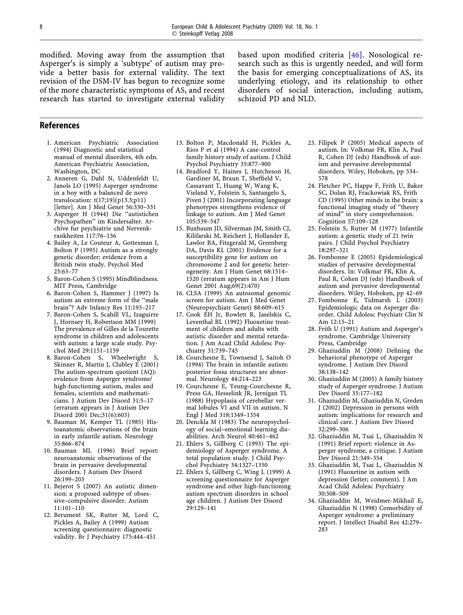modified. Moving away from the assumption that Asperger's is simply a 'subtype' of autism may provide a better basis for external validity. The text revision of the DSM-IV has begun to recognize some of the more characteristic symptoms of AS, and recent research has started to investigate external validity

based upon modified criteria [46]. Nosological research such as this is urgently needed, and will form the basis for emerging conceptualizations of AS, its underlying etiology, and its relationship to other disorders of social interaction, including autism, schizoid PD and NLD.

#### References

- 1. American Psychiatric Association (1994) Diagnostic and statistical manual of mental disorders, 4th edn. American Psychiatric Association, Washington, DC
- 2. Anneren G, Dahl N, Uddenfeldt U, Janols LO (1995) Asperger syndrome in a boy with a balanced de novo translocation: t(17;19)(p13.3;p11) [letter]. Am J Med Genet 56:330–331
- 3. Asperger H (1944) Die ''autistichen Psychopathen'' im Kindersalter. Archive fur psychiatrie und Nervenkrankheiten 117:76–136
- 4. Bailey A, Le Couteur A, Gottesman I, Bolton P (1995) Autism as a strongly genetic disorder: evidence from a British twin study. Psychol Med 25:63–77
- 5. Baron-Cohen S (1995) Mindblindness. MIT Press, Cambridge
- 6. Baron-Cohen S, Hammer J (1997) Is autism an extreme form of the ''male brain''? Adv Infancy Res 11:193–217
- 7. Baron-Cohen S, Scahill VL, Izaguirre J, Hornsey H, Robertson MM (1999) The prevalence of Gilles de la Tourette syndrome in children and adolescents with autism: a large scale study. Psychol Med 29:1151–1159
- 8. Baron-Cohen S, Wheelwright S, Skinner R, Martin J, Clubley E (2001) The autism-spectrum quotient (AQ): evidence from Asperger syndrome/ high-functioning autism, males and females, scientists and mathematicians. J Autism Dev Disord 31:5–17 (erratum appears in J Autism Dev Disord 2001 Dec;31(6):603)
- 9. Bauman M, Kemper TL (1985) Histoanatomic observations of the brain in early infantile autism. Neurology 35:866–874
- 10. Bauman ML (1996) Brief report: neuroanatomic observations of the brain in pervasive developmental disorders. J Autism Dev Disord 26:199–203
- 11. Bejerot S (2007) An autistic dimension: a proposed subtype of obsessive–compulsive disorder. Autism 11:101–110
- 12. Berument SK, Rutter M, Lord C, Pickles A, Bailey A (1999) Autism screening questionnaire: diagnostic validity. Br J Psychiatry 175:444–451
- 13. Bolton P, Macdonald H, Pickles A, Rios P et al (1994) A case-control family history study of autism. J Child Psychol Psychiatry 35:877–900
- 14. Bradford Y, Haines J, Hutcheson H, Gardiner M, Braun T, Sheffield V, Cassavant T, Huang W, Wang K, Vieland V, Folstein S, Santangelo S, Piven J (2001) Incorporating language phenotypes strengthens evidence of linkage to autism. Am J Med Genet 105:539–547
- 15. Buxbaum JD, Silverman JM, Smith CJ, Kilifarski M, Reichert J, Hollander E, Lawlor BA, Fitzgerald M, Greenberg DA, Davis KL (2001) Evidence for a susceptibility gene for autism on chromosome 2 and for genetic heterogeneity. Am J Hum Genet 68:1514– 1520 (erratum appears in Am J Hum Genet 2001 Aug;69(2):470)
- 16. CLSA (1999) An autosomal genomic screen for autism. Am J Med Genet (Neuropsychiatr Genet) 88:609–615
- 17. Cook EH Jr, Rowlett R, Jaselskis C, Leventhal BL (1992) Fluoxetine treatment of children and adults with autistic disorder and mental retardation. J Am Acad Child Adolesc Psychiatry 31:739–745
- 18. Courchesne E, Townsend J, Saitoh O (1994) The brain in infantile autism: posterior fossa structures are abnormal. Neurology 44:214–223
- 19. Courchesne E, Yeung-Courchesne R, Press GA, Hesselink JR, Jernigan TL (1988) Hypoplasia of cerebellar vermal lobules VI and VII in autism. N Engl J Med 318:1349–1354
- 20. Denckla M (1983) The neuropsychology of social–emotional learning disabilities. Arch Neurol 40:461–462
- 21. Ehlers S, Gillberg C (1993) The epidemiology of Asperger syndrome. A total population study. J Child Psychol Psychiatry 34:1327–1350
- 22. Ehlers S, Gillberg C, Wing L (1999) A screening questionnaire for Asperger syndrome and other high-functioning autism spectrum disorders in school age children. J Autism Dev Disord 29:129–141
- 23. Filipek P (2005) Medical aspects of autism. In: Volkmar FR, Klin A, Paul R, Cohen DJ (eds) Handbook of autism and pervasive developmental disorders. Wiley, Hoboken, pp 534– 578
- 24. Fletcher PC, Happe F, Frith U, Baker SC, Dolan RJ, Frackowiak RS, Frith CD (1995) Other minds in the brain: a functional imaging study of ''theory of mind'' in story comprehension. Cognition 57:109–128
- 25. Folstein S, Rutter M (1977) Infantile autism: a genetic study of 21 twin pairs. J Child Psychol Psychiatry 18:297–321
- 26. Fombonne E (2005) Epidemiological studies of pervasive developmental disorders. In: Volkmar FR, Klin A, Paul R, Cohen DJ (eds) Handbook of autism and pervasive developmental disorders. Wiley, Hoboken, pp 42–69
- 27. Fombonne E, Tidmarsh L (2003) Epidemiologic data on Asperger disorder. Child Adolesc Psychiatr Clin N Am 12:15–21
- 28. Frith U (1991) Autism and Asperger's syndrome. Cambridge University Press, Cambridge
- 29. Ghaziuddin M (2008) Defining the behavioral phenotype of Asperger syndrome. J Autism Dev Disord 38:138–142
- 30. Ghaziuddin M (2005) A family history study of Asperger syndrome. J Autism Dev Disord 35:177–182
- 31. Ghaziuddin M, Ghaziuddin N, Greden J (2002) Depression in persons with autism: implications for research and clinical care. J Autism Dev Disord 32:299–306
- 32. Ghaziuddin M, Tsai L, Ghaziuddin N (1991) Brief report: violence in Asperger syndrome, a critique. J Autism Dev Disord 21:349–354
- 33. Ghaziuddin M, Tsai L, Ghaziuddin N (1991) Fluoxetine in autism with depression (letter; comment). J Am Acad Child Adolesc Psychiatry 30:508–509
- 34. Ghaziuddin M, Weidmer-Mikhail E, Ghaziuddin N (1998) Comorbidity of Asperger syndrome: a preliminary report. J Intellect Disabil Res 42:279– 283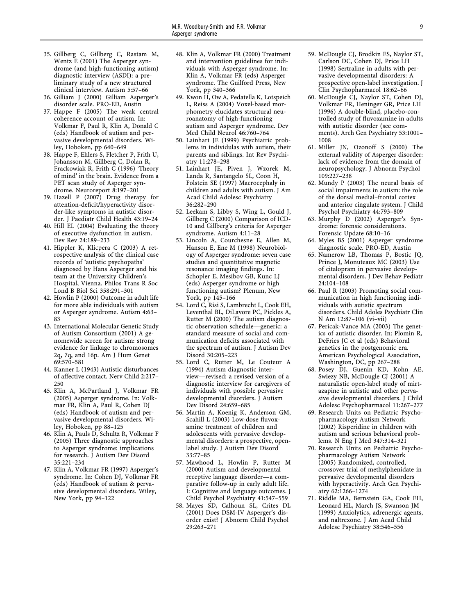- 35. Gillberg C, Gillberg C, Rastam M, Wentz E (2001) The Asperger syndrome (and high-functioning autism) diagnostic interview (ASDI): a preliminary study of a new structured clinical interview. Autism 5:57–66
- 36. Gilliam J (2000) Gilliam Asperger's disorder scale. PRO-ED, Austin
- 37. Happe F (2005) The weak central coherence account of autism. In: Volkmar F, Paul R, Klin A, Donald C (eds) Handbook of autism and pervasive developmental disorders. Wiley, Hoboken, pp 640–649
- 38. Happe F, Ehlers S, Fletcher P, Frith U, Johansson M, Gillberg C, Dolan R, Frackowiak R, Frith C (1996) 'Theory of mind' in the brain. Evidence from a PET scan study of Asperger syndrome. Neuroreport 8:197–201
- 39. Hazell P (2007) Drug therapy for attention-deficit/hyperactivity disorder-like symptoms in autistic disorder. J Paediatr Child Health 43:19–24
- 40. Hill EL (2004) Evaluating the theory of executive dysfunction in autism. Dev Rev 24:189–233
- 41. Hippler K, Klicpera C (2003) A retrospective analysis of the clinical case records of 'autistic psychopaths' diagnosed by Hans Asperger and his team at the University Children's Hospital, Vienna. Philos Trans R Soc Lond B Biol Sci 358:291–301
- 42. Howlin P (2000) Outcome in adult life for more able individuals with autism or Asperger syndrome. Autism 4:63– 83
- 43. International Molecular Genetic Study of Autism Consortium (2001) A genomewide screen for autism: strong evidence for linkage to chromosomes 2q, 7q, and 16p. Am J Hum Genet 69:570–581
- 44. Kanner L (1943) Autistic disturbances of affective contact. Nerv Child 2:217– 250
- 45. Klin A, McPartland J, Volkmar FR (2005) Asperger syndrome. In: Volkmar FR, Klin A, Paul R, Cohen DJ (eds) Handbook of autism and pervasive developmental disorders. Wiley, Hoboken, pp 88–125
- 46. Klin A, Pauls D, Schultz R, Volkmar F (2005) Three diagnostic approaches to Asperger syndrome: implications for research. J Autism Dev Disord 35:221–234
- 47. Klin A, Volkmar FR (1997) Asperger's syndrome. In: Cohen DJ, Volkmar FR (eds) Handbook of autism & pervasive developmental disorders. Wiley, New York, pp 94–122
- 48. Klin A, Volkmar FR (2000) Treatment and intervention guidelines for individuals with Asperger syndrome. In: Klin A, Volkmar FR (eds) Asperger syndrome. The Guilford Press, New York, pp 340–366
- 49. Kwon H, Ow A, Pedatella K, Lotspeich L, Reiss A (2004) Voxel-based morphometry elucidates structural neuroanatomy of high-functioning autism and Asperger syndrome. Dev Med Child Neurol 46:760–764
- 50. Lainhart JE (1999) Psychiatric problems in individulas with autism, their parents and siblings. Int Rev Psychiatry 11:278–298
- 51. Lainhart JE, Piven J, Wzorek M, Landa R, Santangelo SL, Coon H, Folstein SE (1997) Macrocephaly in children and adults with autism. J Am Acad Child Adolesc Psychiatry 36:282–290
- 52. Leekam S, Libby S, Wing L, Gould J, Gillberg C (2000) Comparison of ICD-10 and Gillberg's criteria for Asperger syndrome. Autism 4:11–28
- 53. Lincoln A, Courchesne E, Allen M, Hanson E, Ene M (1998) Neurobiology of Asperger syndrome: seven case studies and quantitative magnetic resonance imaging findings. In: Schopler E, Mesibov GB, Kunc LJ (eds) Asperger syndrome or high functioning autism? Plenum, New York, pp 145–166
- 54. Lord C, Risi S, Lambrecht L, Cook EH, Leventhal BL, DiLavore PC, Pickles A, Rutter M (2000) The autism diagnostic observation schedule—generic: a standard measure of social and communication deficits associated with the spectrum of autism. J Autism Dev Disord 30:205–223
- 55. Lord C, Rutter M, Le Couteur A (1994) Autism diagnostic interview—revised: a revised version of a diagnostic interview for caregivers of individuals with possible pervasive developmental disorders. J Autism Dev Disord 24:659–685
- 56. Martin A, Koenig K, Anderson GM, Scahill L (2003) Low-dose fluvoxamine treatment of children and adolescents with pervasive developmental disorders: a prospective, openlabel study. J Autism Dev Disord 33:77–85
- 57. Mawhood L, Howlin P, Rutter M (2000) Autism and developmental receptive language disorder—a comparative follow-up in early adult life. I: Cognitive and language outcomes. J Child Psychol Psychiatry 41:547–559
- 58. Mayes SD, Calhoun SL, Crites DL (2001) Does DSM-IV Asperger's disorder exist? J Abnorm Child Psychol 29:263–271
- 59. McDougle CJ, Brodkin ES, Naylor ST, Carlson DC, Cohen DJ, Price LH (1998) Sertraline in adults with pervasive developmental disorders: A prospective open-label investigation. J Clin Psychopharmacol 18:62–66
- 60. McDougle CJ, Naylor ST, Cohen DJ, Volkmar FR, Heninger GR, Price LH (1996) A double-blind, placebo-controlled study of fluvoxamine in adults with autistic disorder (see comments). Arch Gen Psychiatry 53:1001– 1008
- 61. Miller JN, Ozonoff S (2000) The external validity of Asperger disorder: lack of evidence from the domain of neuropsychology. J Abnorm Psychol 109:227–238
- 62. Mundy P (2003) The neural basis of social impairments in autism: the role of the dorsal medial–frontal cortex and anterior cingulate system. J Child Psychol Psychiatry 44:793–809
- 63. Murphy D (2002) Asperger's Syndrome: forensic considerations. Forensic Update 68:10–16
- 64. Myles BS (2001) Asperger syndrome diagnostic scale. PRO-ED, Austin
- 65. Namerow LB, Thomas P, Bostic JQ, Prince J, Monuteaux MC (2003) Use of citalopram in pervasive developmental disorders. J Dev Behav Pediatr 24:104–108
- 66. Paul R (2003) Promoting social communication in high functioning individuals with autistic spectrum disorders. Child Adoles Psychiatr Clin N Am 12:87–106 (vi–vii)
- 67. Pericak-Vance MA (2003) The genetics of autistic disorder. In: Plomin R, DeFries JC et al (eds) Behavioral genetics in the postgenomic era. American Psychological Association, Washington, DC, pp 267–288
- 68. Posey DJ, Guenin KD, Kohn AE, Swiezy NB, McDougle CJ (2001) A naturalistic open-label study of mirtazapine in autistic and other pervasive developmental disorders. J Child Adolesc Psychopharmacol 11:267–277
- 69. Research Units on Pediatric Psychopharmacology Autism Network (2002) Risperidine in children with autism and serious behavioral problems. N Eng J Med 347:314–321
- 70. Research Units on Pediatric Psychopharmacology Autism Network (2005) Randomized, controlled, crossover trial of methylphenidate in pervasive developmental disorders with hyperactivity. Arch Gen Psychiatry 62:1266–1274
- 71. Riddle MA, Bernstein GA, Cook EH, Leonard HL, March JS, Swanson JM (1999) Anxiolytics, adrenergic agents, and naltrexone. J Am Acad Child Adolesc Psychiatry 38:546–556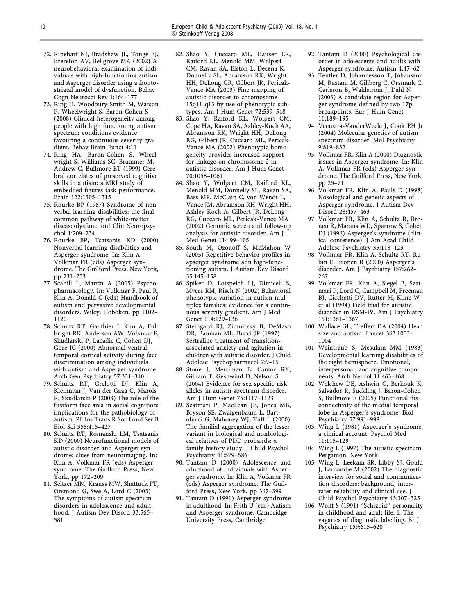- 72. Rinehart NJ, Bradshaw JL, Tonge BJ, Brereton AV, Bellgrove MA (2002) A neurobehavioral examination of individuals with high-functioning autism and Asperger disorder using a frontostriatal model of dysfunction. Behav Cogn Neurosci Rev 1:164–177
- 73. Ring H, Woodbury-Smith M, Watson P, Wheelwright S, Baron-Cohen S (2008) Clinical heterogeneity among people with high functioning autism spectrum conditions evidence favouring a continuous severity gradient. Behav Brain Funct 4:11
- 74. Ring HA, Baron-Cohen S, Wheelwright S, Williams SC, Brammer M, Andrew C, Bullmore ET (1999) Cerebral correlates of preserved cognitive skills in autism: a MRI study of embedded figures task performance. Brain 122:1305–1315
- 75. Rourke BP (1987) Syndrome of nonverbal learning disabilities: the final common pathway of white-matter disease/dysfunction? Clin Neuropsychol 1:209–234
- 76. Rourke BP, Tsatsanis KD (2000) Nonverbal learning disabilities and Asperger syndrome. In: Klin A, Volkmar FR (eds) Asperger syndrome. The Guilford Press, New York, pp 231–253
- 77. Scahill L, Martin A (2005) Psychopharmacology. In: Volkmar F, Paul R, Klin A, Donald C (eds) Handbook of autism and pervasive developmental disorders. Wiley, Hoboken, pp 1102-1120
- 78. Schultz RT, Gauthier I, Klin A, Fulbright RK, Anderson AW, Volkmar F, Skudlarski P, Lacadie C, Cohen DJ, Gore JC (2000) Abnormal ventral temporal cortical activity during face discrimination among individuals with autism and Asperger syndrome. Arch Gen Psychiatry 57:331–340
- 79. Schultz RT, Grelotti DJ, Klin A, Kleinman J, Van der Gaag C, Marois R, Skudlarski P (2003) The role of the fusiform face area in social cognition: implications for the pathobiology of autism. Philos Trans R Soc Lond Ser B Biol Sci 358:415–427
- 80. Schultz RT, Romanski LM, Tsatsanis KD (2000) Neurofunctional models of autistic disorder and Asperger syndrome: clues from neuroimaging. In: Klin A, Volkmar FR (eds) Asperger syndrome. The Guilford Press, New York, pp 172–209
- 81. Seltzer MM, Krauss MW, Shattuck PT, Orsmond G, Swe A, Lord C (2003) The symptoms of autism spectrum disorders in adolescence and adulthood. J Autism Dev Disord 33:565– 581
- 82. Shao Y, Cuccaro ML, Hauser ER, Raiford KL, Menold MM, Wolpert CM, Ravan SA, Elston L, Decena K, Donnelly SL, Abramson RK, Wright HH, DeLong GR, Gilbert JR, Pericak-Vance MA (2003) Fine mapping of autistic disorder to chromosome 15q11-q13 by use of phenotypic subtypes. Am J Hum Genet 72:539–548
- 83. Shao Y, Raiford KL, Wolpert CM, Cope HA, Ravan SA, Ashley-Koch AA, Abramson RK, Wright HH, DeLong RG, Gilbert JR, Cuccaro ML, Pericak-Vance MA (2002) Phenotypic homogeneity provides increased support for linkage on chromosome 2 in autistic disorder. Am J Hum Genet 70:1058–1061
- 84. Shao Y, Wolpert CM, Raiford KL, Menold MM, Donnelly SL, Ravan SA, Bass MP, McClain C, von Wendt L, Vance JM, Abramson RH, Wright HH, Ashley-Koch A, Gilbert JR, DeLong RG, Cuccaro ML, Pericak-Vance MA (2002) Genomic screen and follow-up analysis for autistic disorder. Am J Med Genet 114:99–105
- 85. South M, Ozonoff S, McMahon W (2005) Repetitive behavior profiles in apserger syndrome adn high-functioning autism. J Autism Dev Disord 35:145–158
- 86. Spiker D, Lotspeich LJ, Dimiceli S, Myers RM, Risch N (2002) Behavioral phenotypic variation in autism multiplex families: evidence for a continuous severity gradient. Am J Med Genet 114:129–136
- 87. Steingard RJ, Zimnitzky B, DeMaso DR, Bauman ML, Bucci JP (1997) Sertraline treatment of transitionassociated anxiety and agitation in children with autistic disorder. J Child Adolesc Psychopharmacol 7:9–15
- 88. Stone J, Merriman B, Cantor RY, Gilliam T, Geshwind D, Nelson S (2004) Evidence for sex specific risk alleles in autism spectrum disorder. Am J Hum Genet 75:1117–1123
- 89. Szatmari P, MacLean JE, Jones MB, Bryson SE, Zwaigenbaum L, Bartolucci G, Mahoney WJ, Tuff L (2000) The familial aggregation of the lesser variant in biological and nonbiological relatives of PDD probands: a family history study. J Child Psychol Psychiatry 41:579–586
- 90. Tantam D (2000) Adolescence and adulthood of individuals with Asperger syndrome. In: Klin A, Volkmar FR (eds) Asperger syndrome. The Guilford Press, New York, pp 367–399
- 91. Tantam D (1991) Asperger syndrome in adulthood. In: Frith U (eds) Autism and Asperger syndrome. Cambridge University Press, Cambridge
- 92. Tantam D (2000) Psychological disorder in adolescents and adults with Asperger syndrome. Autism 4:47–62
- 93. Tentler D, Johannesson T, Johansson M, Rastam M, Gillberg C, Orsmark C, Carlsson B, Wahlstrom J, Dahl N (2003) A candidate region for Asperger syndrome defined by two 17p breakpoints. Eur J Hum Genet 11:189–195
- 94. Veenstra-VanderWeele J, Cook EH Jr (2004) Molecular genetics of autism spectrum disorder. Mol Psychiatry 9:819–832
- 95. Volkmar FR, Klin A (2000) Diagnostic issues in Asperger syndrome. In: Klin A, Volkmar FR (eds) Asperger syndrome. The Guilford Press, New York, pp 25–71
- 96. Volkmar FR, Klin A, Pauls D (1998) Nosological and genetic aspects of Asperger syndrome. J Autism Dev Disord 28:457–463
- 97. Volkmar FR, Klin A, Schultz R, Bronen R, Marans WD, Sparrow S, Cohen DJ (1996) Asperger's syndrome (clinical conference). J Am Acad Child Adolesc Psychiatry 35:118–123
- 98. Volkmar FR, Klin A, Schultz RT, Rubin E, Bronen R (2000) Asperger's disorder. Am J Psychiatry 157:262– 267
- 99. Volkmar FR, Klin A, Siegel B, Szatmari P, Lord C, Campbell M, Freeman BJ, Cicchetti DV, Rutter M, Kline W et al (1994) Field trial for autistic disorder in DSM-IV. Am J Psychiatry 151:1361–1367
- 100. Wallace GL, Treffert DA (2004) Head size and autism. Lancet 363:1003– 1004
- 101. Weintraub S, Mesulam MM (1983) Developmental learning disabilities of the right hemisphere. Emotional, interpersonal, and cognitive components. Arch Neurol 11:463–468
- 102. Welchew DE, Ashwin C, Berkouk K, Salvador R, Suckling J, Baron-Cohen S, Bullmore E (2005) Functional disconnectivity of the medial temporal lobe in Asperger's syndrome. Biol Psychiatry 57:991–998
- 103. Wing L (1981) Asperger's syndrome: a clinical account. Psychol Med 11:115–129
- 104. Wing L (1997) The autistic spectrum. Pergamon, New York
- 105. Wing L, Leekam SR, Libby SJ, Gould J, Larcombe M (2002) The diagnostic interview for social and communication disorders: background, interrater reliability and clinical use. J Child Psychol Psychiatry 43:307–325
- 106. Wolff S (1991) ''Schizoid'' personality in childhood and adult life. I: The vagaries of diagnostic labelling. Br J Psychiatry 159:615–620